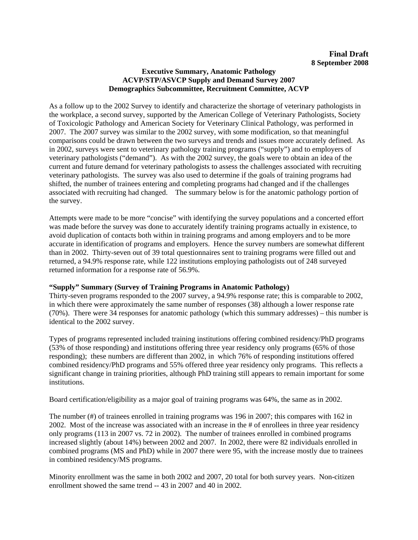## **Executive Summary, Anatomic Pathology ACVP/STP/ASVCP Supply and Demand Survey 2007 Demographics Subcommittee, Recruitment Committee, ACVP**

As a follow up to the 2002 Survey to identify and characterize the shortage of veterinary pathologists in the workplace, a second survey, supported by the American College of Veterinary Pathologists, Society of Toxicologic Pathology and American Society for Veterinary Clinical Pathology, was performed in 2007. The 2007 survey was similar to the 2002 survey, with some modification, so that meaningful comparisons could be drawn between the two surveys and trends and issues more accurately defined. As in 2002, surveys were sent to veterinary pathology training programs ("supply") and to employers of veterinary pathologists ("demand"). As with the 2002 survey, the goals were to obtain an idea of the current and future demand for veterinary pathologists to assess the challenges associated with recruiting veterinary pathologists. The survey was also used to determine if the goals of training programs had shifted, the number of trainees entering and completing programs had changed and if the challenges associated with recruiting had changed. The summary below is for the anatomic pathology portion of the survey.

Attempts were made to be more "concise" with identifying the survey populations and a concerted effort was made before the survey was done to accurately identify training programs actually in existence, to avoid duplication of contacts both within in training programs and among employers and to be more accurate in identification of programs and employers. Hence the survey numbers are somewhat different than in 2002. Thirty-seven out of 39 total questionnaires sent to training programs were filled out and returned, a 94.9% response rate, while 122 institutions employing pathologists out of 248 surveyed returned information for a response rate of 56.9%.

## **"Supply" Summary (Survey of Training Programs in Anatomic Pathology)**

Thirty-seven programs responded to the 2007 survey, a 94.9% response rate; this is comparable to 2002, in which there were approximately the same number of responses (38) although a lower response rate (70%). There were 34 responses for anatomic pathology (which this summary addresses) – this number is identical to the 2002 survey.

Types of programs represented included training institutions offering combined residency/PhD programs (53% of those responding) and institutions offering three year residency only programs (65% of those responding); these numbers are different than 2002, in which 76% of responding institutions offered combined residency/PhD programs and 55% offered three year residency only programs. This reflects a significant change in training priorities, although PhD training still appears to remain important for some institutions.

Board certification/eligibility as a major goal of training programs was 64%, the same as in 2002.

The number (#) of trainees enrolled in training programs was 196 in 2007; this compares with 162 in 2002. Most of the increase was associated with an increase in the # of enrollees in three year residency only programs (113 in 2007 vs. 72 in 2002). The number of trainees enrolled in combined programs increased slightly (about 14%) between 2002 and 2007. In 2002, there were 82 individuals enrolled in combined programs (MS and PhD) while in 2007 there were 95, with the increase mostly due to trainees in combined residency/MS programs.

Minority enrollment was the same in both 2002 and 2007, 20 total for both survey years. Non-citizen enrollment showed the same trend -- 43 in 2007 and 40 in 2002.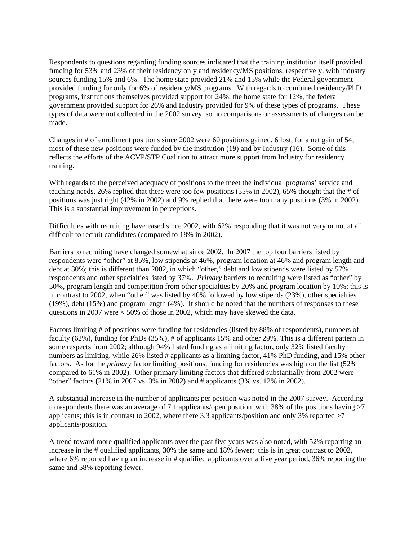Respondents to questions regarding funding sources indicated that the training institution itself provided funding for 53% and 23% of their residency only and residency/MS positions, respectively, with industry sources funding 15% and 6%. The home state provided 21% and 15% while the Federal government provided funding for only for 6% of residency/MS programs. With regards to combined residency/PhD programs, institutions themselves provided support for 24%, the home state for 12%, the federal government provided support for 26% and Industry provided for 9% of these types of programs. These types of data were not collected in the 2002 survey, so no comparisons or assessments of changes can be made.

Changes in # of enrollment positions since 2002 were 60 positions gained, 6 lost, for a net gain of 54; most of these new positions were funded by the institution (19) and by Industry (16). Some of this reflects the efforts of the ACVP/STP Coalition to attract more support from Industry for residency training.

With regards to the perceived adequacy of positions to the meet the individual programs' service and teaching needs, 26% replied that there were too few positions (55% in 2002), 65% thought that the # of positions was just right (42% in 2002) and 9% replied that there were too many positions (3% in 2002). This is a substantial improvement in perceptions.

Difficulties with recruiting have eased since 2002, with 62% responding that it was not very or not at all difficult to recruit candidates (compared to 18% in 2002).

Barriers to recruiting have changed somewhat since 2002. In 2007 the top four barriers listed by respondents were "other" at 85%, low stipends at 46%, program location at 46% and program length and debt at 30%; this is different than 2002, in which "other," debt and low stipends were listed by 57% respondents and other specialties listed by 37%. *Primary* barriers to recruiting were listed as "other" by 50%, program length and competition from other specialties by 20% and program location by 10%; this is in contrast to 2002, when "other" was listed by 40% followed by low stipends (23%), other specialties (19%), debt (15%) and program length (4%). It should be noted that the numbers of responses to these questions in 2007 were < 50% of those in 2002, which may have skewed the data.

Factors limiting # of positions were funding for residencies (listed by 88% of respondents), numbers of faculty (62%), funding for PhDs (35%), # of applicants 15% and other 29%. This is a different pattern in some respects from 2002; although 94% listed funding as a limiting factor, only 32% listed faculty numbers as limiting, while 26% listed # applicants as a limiting factor, 41% PhD funding, and 15% other factors. As for the *primary* factor limiting positions, funding for residencies was high on the list (52% compared to 61% in 2002). Other primary limiting factors that differed substantially from 2002 were "other" factors (21% in 2007 vs. 3% in 2002) and # applicants (3% vs. 12% in 2002).

A substantial increase in the number of applicants per position was noted in the 2007 survey. According to respondents there was an average of 7.1 applicants/open position, with 38% of the positions having >7 applicants; this is in contrast to 2002, where there 3.3 applicants/position and only 3% reported >7 applicants/position.

A trend toward more qualified applicants over the past five years was also noted, with 52% reporting an increase in the # qualified applicants, 30% the same and 18% fewer; this is in great contrast to 2002, where 6% reported having an increase in # qualified applicants over a five year period, 36% reporting the same and 58% reporting fewer.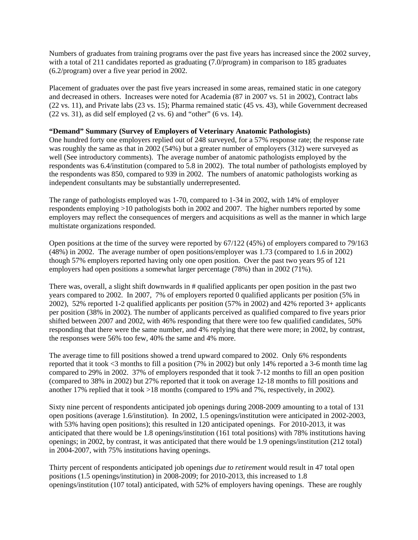Numbers of graduates from training programs over the past five years has increased since the 2002 survey, with a total of 211 candidates reported as graduating (7.0/program) in comparison to 185 graduates (6.2/program) over a five year period in 2002.

Placement of graduates over the past five years increased in some areas, remained static in one category and decreased in others. Increases were noted for Academia (87 in 2007 vs. 51 in 2002), Contract labs (22 vs. 11), and Private labs (23 vs. 15); Pharma remained static (45 vs. 43), while Government decreased  $(22 \text{ vs. } 31)$ , as did self employed  $(2 \text{ vs. } 6)$  and "other"  $(6 \text{ vs. } 14)$ .

## **"Demand" Summary (Survey of Employers of Veterinary Anatomic Pathologists)**

One hundred forty one employers replied out of 248 surveyed, for a 57% response rate; the response rate was roughly the same as that in 2002 (54%) but a greater number of employers (312) were surveyed as well (See introductory comments). The average number of anatomic pathologists employed by the respondents was 6.4/institution (compared to 5.8 in 2002). The total number of pathologists employed by the respondents was 850, compared to 939 in 2002. The numbers of anatomic pathologists working as independent consultants may be substantially underrepresented.

The range of pathologists employed was 1-70, compared to 1-34 in 2002, with 14% of employer respondents employing >10 pathologists both in 2002 and 2007. The higher numbers reported by some employers may reflect the consequences of mergers and acquisitions as well as the manner in which large multistate organizations responded.

Open positions at the time of the survey were reported by 67/122 (45%) of employers compared to 79/163 (48%) in 2002. The average number of open positions/employer was 1.73 (compared to 1.6 in 2002) though 57% employers reported having only one open position. Over the past two years 95 of 121 employers had open positions a somewhat larger percentage (78%) than in 2002 (71%).

There was, overall, a slight shift downwards in # qualified applicants per open position in the past two years compared to 2002. In 2007, 7% of employers reported 0 qualified applicants per position (5% in 2002), 52% reported 1-2 qualified applicants per position (57% in 2002) and 42% reported 3+ applicants per position (38% in 2002). The number of applicants perceived as qualified compared to five years prior shifted between 2007 and 2002, with 46% responding that there were too few qualified candidates, 50% responding that there were the same number, and 4% replying that there were more; in 2002, by contrast, the responses were 56% too few, 40% the same and 4% more.

The average time to fill positions showed a trend upward compared to 2002. Only 6% respondents reported that it took <3 months to fill a position (7% in 2002) but only 14% reported a 3-6 month time lag compared to 29% in 2002. 37% of employers responded that it took 7-12 months to fill an open position (compared to 38% in 2002) but 27% reported that it took on average 12-18 months to fill positions and another 17% replied that it took >18 months (compared to 19% and 7%, respectively, in 2002).

Sixty nine percent of respondents anticipated job openings during 2008-2009 amounting to a total of 131 open positions (average 1.6/institution). In 2002, 1.5 openings/institution were anticipated in 2002-2003, with 53% having open positions); this resulted in 120 anticipated openings. For 2010-2013, it was anticipated that there would be 1.8 openings/institution (161 total positions) with 78% institutions having openings; in 2002, by contrast, it was anticipated that there would be 1.9 openings/institution (212 total) in 2004-2007, with 75% institutions having openings.

Thirty percent of respondents anticipated job openings *due to retirement* would result in 47 total open positions (1.5 openings/institution) in 2008-2009; for 2010-2013, this increased to 1.8 openings/institution (107 total) anticipated, with 52% of employers having openings. These are roughly